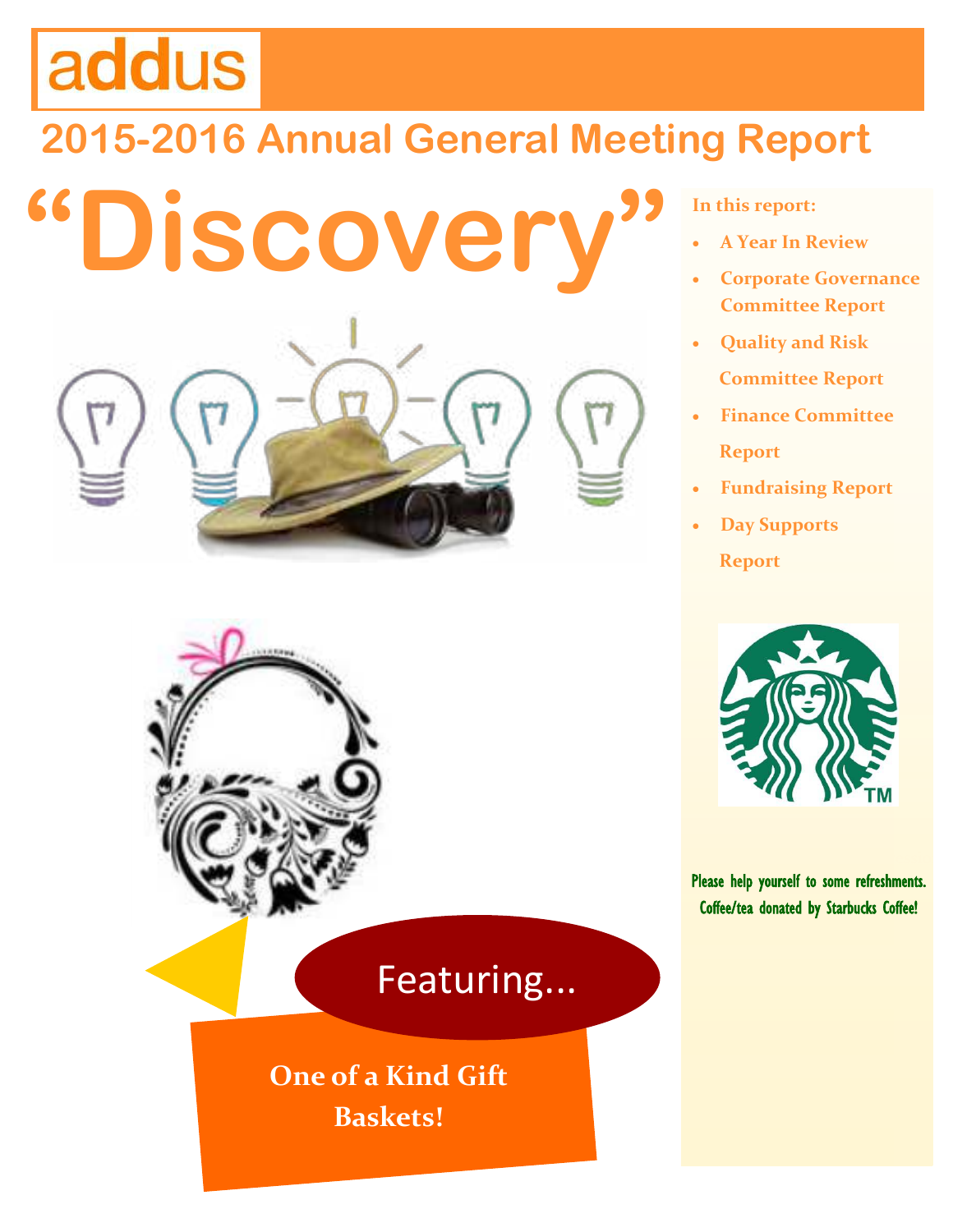# addus

# **2015-2016 Annual General Meeting Report**

**"Discovery"**



**In this report:**

- **A Year In Review**
- **Corporate Governance Committee Report**
- **Quality and Risk Committee Report**
- **Finance Committee Report**
- **Fundraising Report**
- **Day Supports Report**



Please help yourself to some refreshments. Coffee/tea donated by Starbucks Coffee!

# Featuring...

**One of a Kind Gift Baskets!**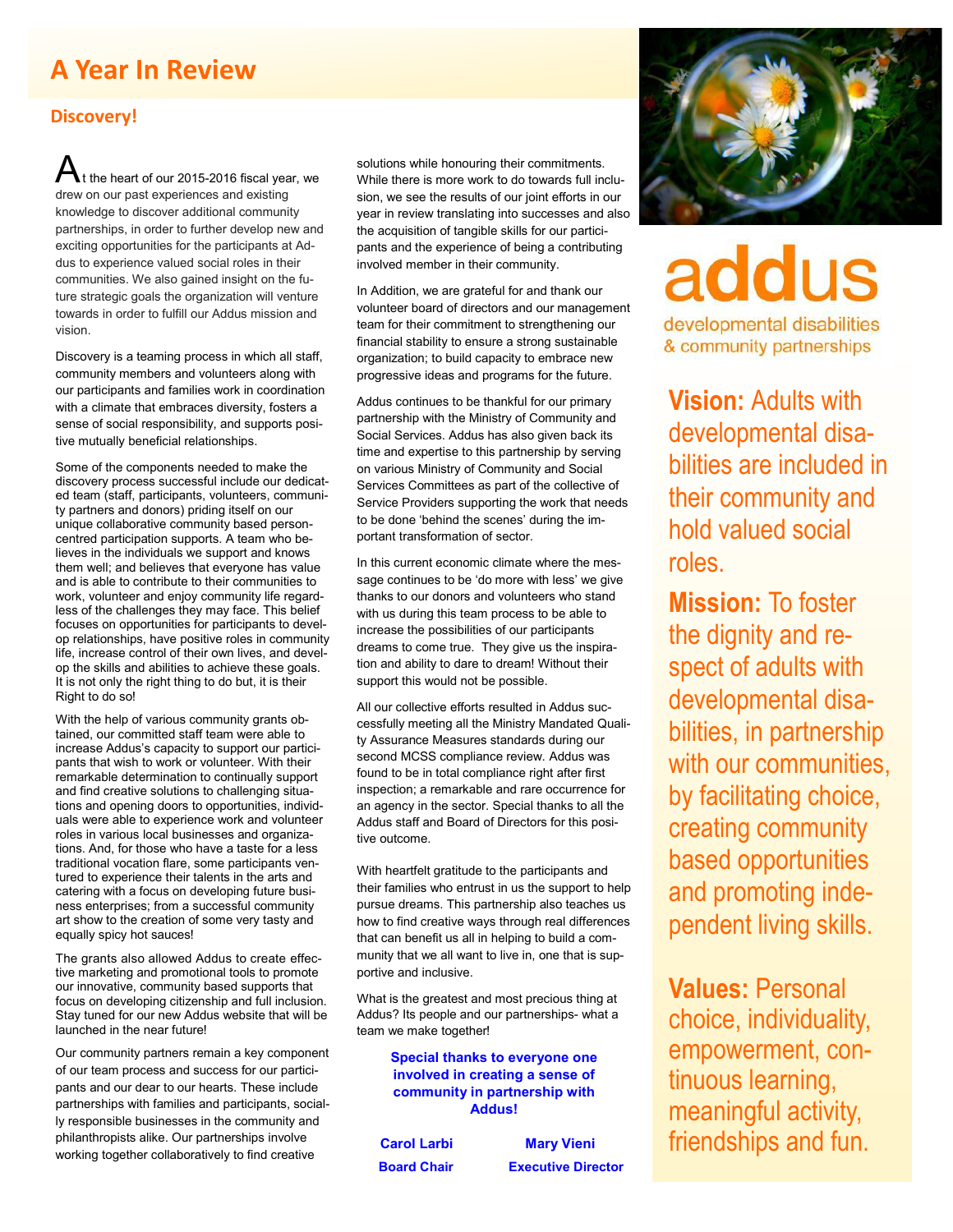## **A Year In Review**

#### **Discovery!**

t the heart of our 2015-2016 fiscal year, we drew on our past experiences and existing knowledge to discover additional community partnerships, in order to further develop new and exciting opportunities for the participants at Addus to experience valued social roles in their communities. We also gained insight on the future strategic goals the organization will venture towards in order to fulfill our Addus mission and vision.

Discovery is a teaming process in which all staff, community members and volunteers along with our participants and families work in coordination with a climate that embraces diversity, fosters a sense of social responsibility, and supports positive mutually beneficial relationships.

Some of the components needed to make the discovery process successful include our dedicated team (staff, participants, volunteers, community partners and donors) priding itself on our unique collaborative community based personcentred participation supports. A team who believes in the individuals we support and knows them well; and believes that everyone has value and is able to contribute to their communities to work, volunteer and enjoy community life regardless of the challenges they may face. This belief focuses on opportunities for participants to develop relationships, have positive roles in community life, increase control of their own lives, and develop the skills and abilities to achieve these goals. It is not only the right thing to do but, it is their Right to do so!

With the help of various community grants obtained, our committed staff team were able to increase Addus's capacity to support our participants that wish to work or volunteer. With their remarkable determination to continually support and find creative solutions to challenging situations and opening doors to opportunities, individuals were able to experience work and volunteer roles in various local businesses and organizations. And, for those who have a taste for a less traditional vocation flare, some participants ventured to experience their talents in the arts and catering with a focus on developing future business enterprises; from a successful community art show to the creation of some very tasty and equally spicy hot sauces!

The grants also allowed Addus to create effective marketing and promotional tools to promote our innovative, community based supports that focus on developing citizenship and full inclusion. Stay tuned for our new Addus website that will be launched in the near future!

Our community partners remain a key component of our team process and success for our participants and our dear to our hearts. These include partnerships with families and participants, socially responsible businesses in the community and philanthropists alike. Our partnerships involve working together collaboratively to find creative

solutions while honouring their commitments. While there is more work to do towards full inclusion, we see the results of our joint efforts in our year in review translating into successes and also the acquisition of tangible skills for our participants and the experience of being a contributing involved member in their community.

In Addition, we are grateful for and thank our volunteer board of directors and our management team for their commitment to strengthening our financial stability to ensure a strong sustainable organization; to build capacity to embrace new progressive ideas and programs for the future.

Addus continues to be thankful for our primary partnership with the Ministry of Community and Social Services. Addus has also given back its time and expertise to this partnership by serving on various Ministry of Community and Social Services Committees as part of the collective of Service Providers supporting the work that needs to be done 'behind the scenes' during the important transformation of sector.

In this current economic climate where the message continues to be 'do more with less' we give thanks to our donors and volunteers who stand with us during this team process to be able to increase the possibilities of our participants dreams to come true. They give us the inspiration and ability to dare to dream! Without their support this would not be possible.

All our collective efforts resulted in Addus successfully meeting all the Ministry Mandated Quality Assurance Measures standards during our second MCSS compliance review. Addus was found to be in total compliance right after first inspection; a remarkable and rare occurrence for an agency in the sector. Special thanks to all the Addus staff and Board of Directors for this positive outcome.

With heartfelt gratitude to the participants and their families who entrust in us the support to help pursue dreams. This partnership also teaches us how to find creative ways through real differences that can benefit us all in helping to build a community that we all want to live in, one that is supportive and inclusive.

What is the greatest and most precious thing at Addus? Its people and our partnerships- what a team we make together!

> **Special thanks to everyone one involved in creating a sense of community in partnership with Addus!**

 **Carol Larbi Mary Vieni Board Chair Executive Director**



addus

developmental disabilities & community partnerships

**Vision:** Adults with developmental disabilities are included in their community and hold valued social roles.

**Mission:** To foster the dignity and respect of adults with developmental disabilities, in partnership with our communities. by facilitating choice, creating community based opportunities and promoting independent living skills.

**Values:** Personal choice, individuality, empowerment, continuous learning, meaningful activity, friendships and fun.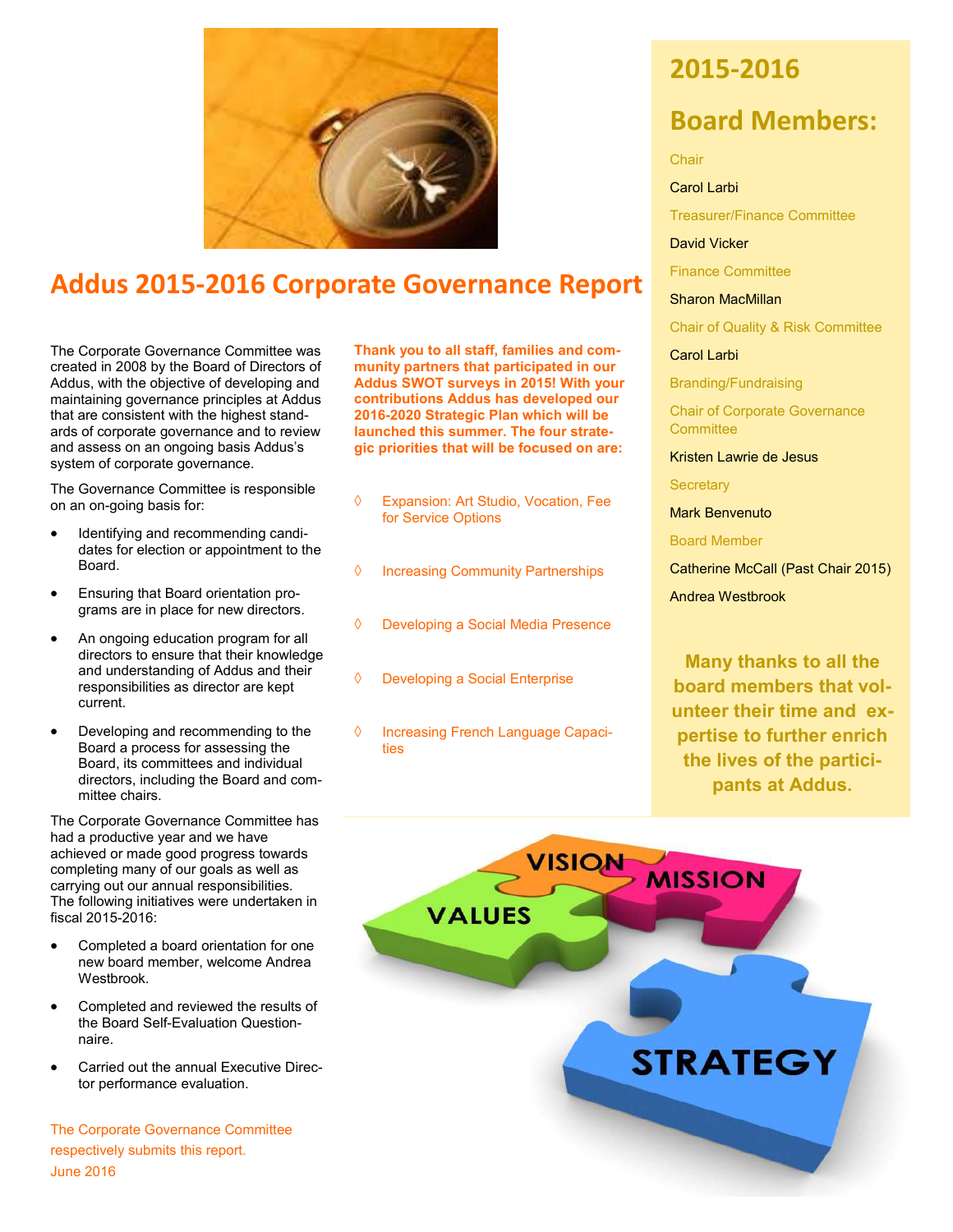

## **Addus 2015-2016 Corporate Governance Report**

The Corporate Governance Committee was created in 2008 by the Board of Directors of Addus, with the objective of developing and maintaining governance principles at Addus that are consistent with the highest standards of corporate governance and to review and assess on an ongoing basis Addus's system of corporate governance.

The Governance Committee is responsible on an on-going basis for:

- Identifying and recommending candidates for election or appointment to the Board.
- Ensuring that Board orientation programs are in place for new directors.
- An ongoing education program for all directors to ensure that their knowledge and understanding of Addus and their responsibilities as director are kept current.
- Developing and recommending to the Board a process for assessing the Board, its committees and individual directors, including the Board and committee chairs.

The Corporate Governance Committee has had a productive year and we have achieved or made good progress towards completing many of our goals as well as carrying out our annual responsibilities. The following initiatives were undertaken in fiscal 2015-2016:

- Completed a board orientation for one new board member, welcome Andrea Westbrook.
- Completed and reviewed the results of the Board Self-Evaluation Questionnaire.
- Carried out the annual Executive Director performance evaluation.

The Corporate Governance Committee respectively submits this report. June 2016

**Thank you to all staff, families and community partners that participated in our Addus SWOT surveys in 2015! With your contributions Addus has developed our 2016-2020 Strategic Plan which will be launched this summer. The four strategic priorities that will be focused on are:**

- Expansion: Art Studio, Vocation, Fee for Service Options
- $\Diamond$  Increasing Community Partnerships
- Developing a Social Media Presence
- Developing a Social Enterprise
- ♦ Increasing French Language Capacities

### **2015-2016**

### **Board Members:**

Chair

Carol Larbi

Treasurer/Finance Committee

David Vicker

Finance Committee

Sharon MacMillan

Chair of Quality & Risk Committee

Carol Larbi

Branding/Fundraising

Chair of Corporate Governance **Committee** 

Kristen Lawrie de Jesus

**Secretary** 

Mark Benvenuto

Board Member

Catherine McCall (Past Chair 2015) Andrea Westbrook

**Many thanks to all the board members that volunteer their time and expertise to further enrich the lives of the participants at Addus.**

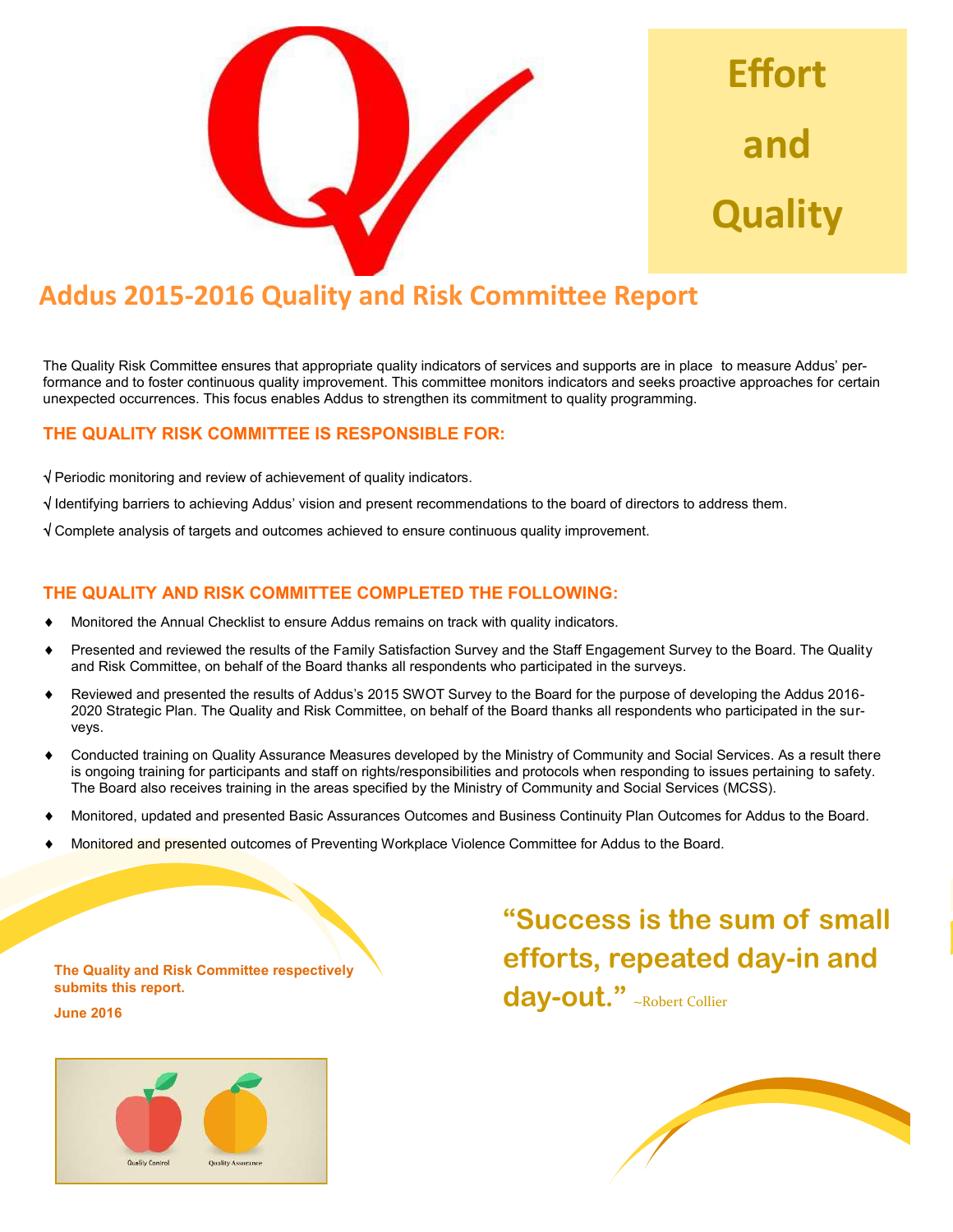

**Effort**  and **Quality** 

# **Addus 2015-2016 Quality and Risk Committee Report**

The Quality Risk Committee ensures that appropriate quality indicators of services and supports are in place to measure Addus' performance and to foster continuous quality improvement. This committee monitors indicators and seeks proactive approaches for certain unexpected occurrences. This focus enables Addus to strengthen its commitment to quality programming.

#### **THE QUALITY RISK COMMITTEE IS RESPONSIBLE FOR:**

 $\sqrt{}$  Periodic monitoring and review of achievement of quality indicators.

 $\sqrt{1}$  Identifying barriers to achieving Addus' vision and present recommendations to the board of directors to address them.

Complete analysis of targets and outcomes achieved to ensure continuous quality improvement.

#### **THE QUALITY AND RISK COMMITTEE COMPLETED THE FOLLOWING:**

- Monitored the Annual Checklist to ensure Addus remains on track with quality indicators.
- Presented and reviewed the results of the Family Satisfaction Survey and the Staff Engagement Survey to the Board. The Quality and Risk Committee, on behalf of the Board thanks all respondents who participated in the surveys.
- Reviewed and presented the results of Addus's 2015 SWOT Survey to the Board for the purpose of developing the Addus 2016- 2020 Strategic Plan. The Quality and Risk Committee, on behalf of the Board thanks all respondents who participated in the surveys.
- Conducted training on Quality Assurance Measures developed by the Ministry of Community and Social Services. As a result there is ongoing training for participants and staff on rights/responsibilities and protocols when responding to issues pertaining to safety. The Board also receives training in the areas specified by the Ministry of Community and Social Services (MCSS).
- Monitored, updated and presented Basic Assurances Outcomes and Business Continuity Plan Outcomes for Addus to the Board.
- Monitored and presented outcomes of Preventing Workplace Violence Committee for Addus to the Board.

**The Quality and Risk Committee respectively submits this report. June 2016**

# Quality Control **Quality Assurance**

**"Success is the sum of small efforts, repeated day-in and day-out."** ~Robert Collier

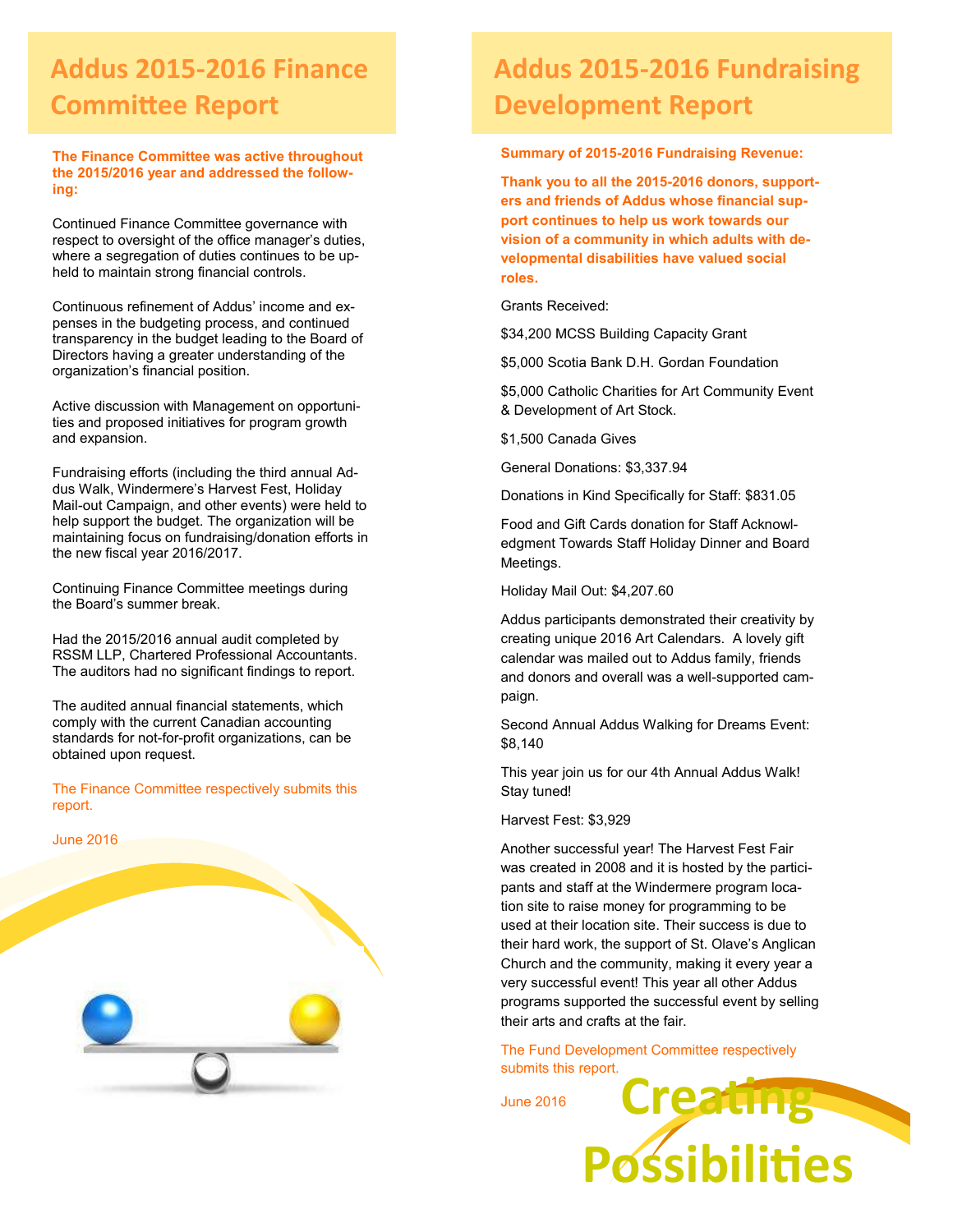# **Addus 2015-2016 Finance Committee Report**

**The Finance Committee was active throughout the 2015/2016 year and addressed the following:**

Continued Finance Committee governance with respect to oversight of the office manager's duties, where a segregation of duties continues to be upheld to maintain strong financial controls.

Continuous refinement of Addus' income and expenses in the budgeting process, and continued transparency in the budget leading to the Board of Directors having a greater understanding of the organization's financial position.

Active discussion with Management on opportunities and proposed initiatives for program growth and expansion.

Fundraising efforts (including the third annual Addus Walk, Windermere's Harvest Fest, Holiday Mail-out Campaign, and other events) were held to help support the budget. The organization will be maintaining focus on fundraising/donation efforts in the new fiscal year 2016/2017.

Continuing Finance Committee meetings during the Board's summer break.

Had the 2015/2016 annual audit completed by RSSM LLP, Chartered Professional Accountants. The auditors had no significant findings to report.

The audited annual financial statements, which comply with the current Canadian accounting standards for not-for-profit organizations, can be obtained upon request.

The Finance Committee respectively submits this report.



# **Addus 2015-2016 Fundraising Development Report**

**Summary of 2015-2016 Fundraising Revenue:**

**Thank you to all the 2015-2016 donors, supporters and friends of Addus whose financial support continues to help us work towards our vision of a community in which adults with developmental disabilities have valued social roles.** 

Grants Received:

\$34,200 MCSS Building Capacity Grant

\$5,000 Scotia Bank D.H. Gordan Foundation

\$5,000 Catholic Charities for Art Community Event & Development of Art Stock.

\$1,500 Canada Gives

General Donations: \$3,337.94

Donations in Kind Specifically for Staff: \$831.05

Food and Gift Cards donation for Staff Acknowledgment Towards Staff Holiday Dinner and Board Meetings.

Holiday Mail Out: \$4,207.60

Addus participants demonstrated their creativity by creating unique 2016 Art Calendars. A lovely gift calendar was mailed out to Addus family, friends and donors and overall was a well-supported campaign.

Second Annual Addus Walking for Dreams Event: \$8,140

This year join us for our 4th Annual Addus Walk! Stay tuned!

Harvest Fest: \$3,929

Another successful year! The Harvest Fest Fair was created in 2008 and it is hosted by the participants and staff at the Windermere program location site to raise money for programming to be used at their location site. Their success is due to their hard work, the support of St. Olave's Anglican Church and the community, making it every year a very successful event! This year all other Addus programs supported the successful event by selling their arts and crafts at the fair.

**Creating** The Fund Development Committee respectively submits this report.

**Possibilities** 

June 2016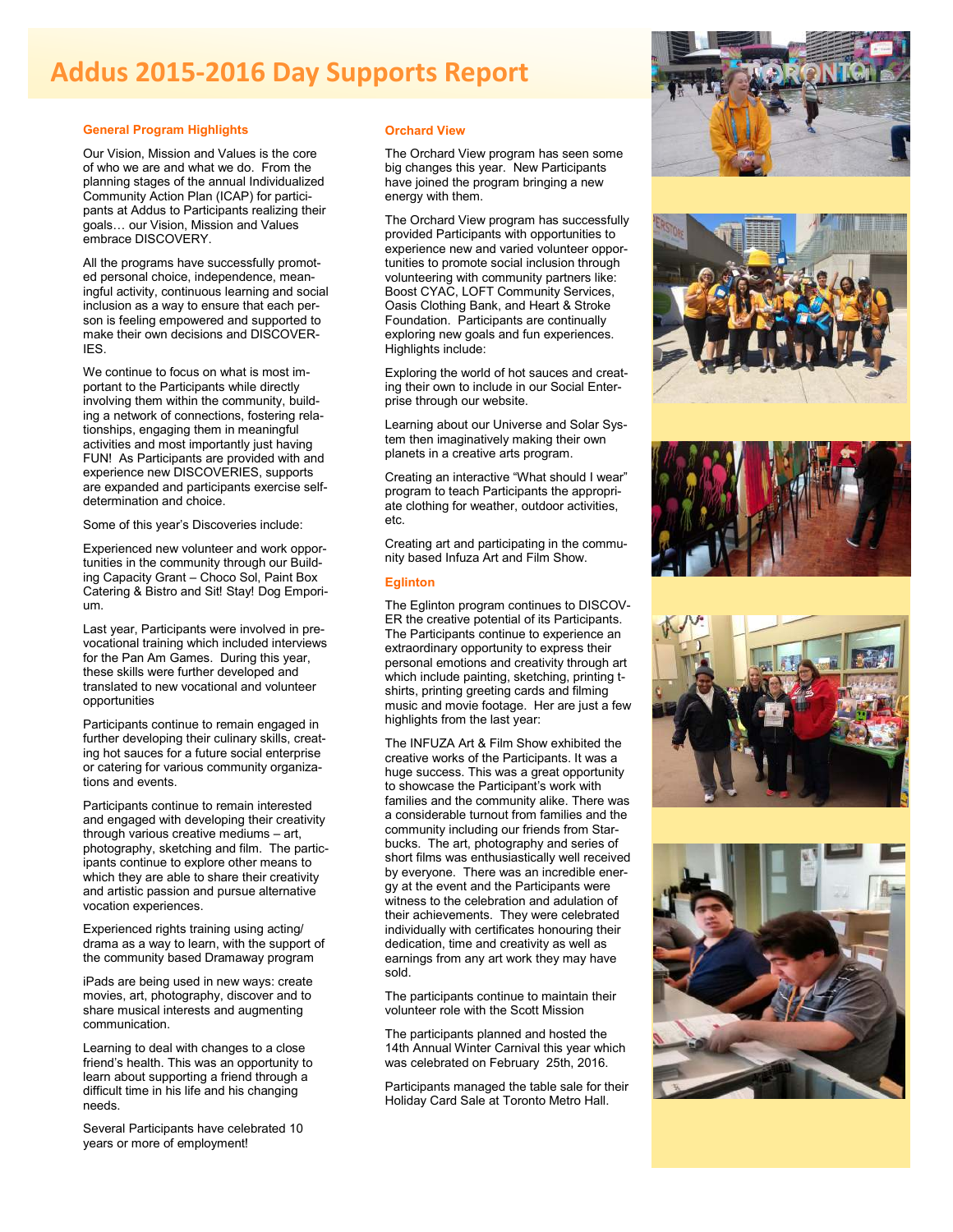# **Addus 2015-2016 Day Supports Report**

#### **General Program Highlights**

Our Vision, Mission and Values is the core of who we are and what we do. From the planning stages of the annual Individualized Community Action Plan (ICAP) for participants at Addus to Participants realizing their goals… our Vision, Mission and Values embrace DISCOVERY.

All the programs have successfully promoted personal choice, independence, meaningful activity, continuous learning and social inclusion as a way to ensure that each person is feeling empowered and supported to make their own decisions and DISCOVER-IES.

We continue to focus on what is most important to the Participants while directly involving them within the community, building a network of connections, fostering relationships, engaging them in meaningful activities and most importantly just having FUN! As Participants are provided with and experience new DISCOVERIES, supports are expanded and participants exercise selfdetermination and choice.

Some of this year's Discoveries include:

Experienced new volunteer and work opportunities in the community through our Building Capacity Grant – Choco Sol, Paint Box Catering & Bistro and Sit! Stay! Dog Emporium.

Last year, Participants were involved in prevocational training which included interviews for the Pan Am Games. During this year, these skills were further developed and translated to new vocational and volunteer opportunities

Participants continue to remain engaged in further developing their culinary skills, creating hot sauces for a future social enterprise or catering for various community organizations and events.

Participants continue to remain interested and engaged with developing their creativity through various creative mediums – art, photography, sketching and film. The participants continue to explore other means to which they are able to share their creativity and artistic passion and pursue alternative vocation experiences.

Experienced rights training using acting/ drama as a way to learn, with the support of the community based Dramaway program

iPads are being used in new ways: create movies, art, photography, discover and to share musical interests and augmenting communication.

Learning to deal with changes to a close friend's health. This was an opportunity to learn about supporting a friend through a difficult time in his life and his changing needs.

Several Participants have celebrated 10 years or more of employment!

#### **Orchard View**

The Orchard View program has seen some big changes this year. New Participants have joined the program bringing a new energy with them.

The Orchard View program has successfully provided Participants with opportunities to experience new and varied volunteer opportunities to promote social inclusion through volunteering with community partners like: Boost CYAC, LOFT Community Services, Oasis Clothing Bank, and Heart & Stroke Foundation. Participants are continually exploring new goals and fun experiences. Highlights include:

Exploring the world of hot sauces and creating their own to include in our Social Enterprise through our website.

Learning about our Universe and Solar System then imaginatively making their own planets in a creative arts program.

Creating an interactive "What should I wear" program to teach Participants the appropriate clothing for weather, outdoor activities, etc.

Creating art and participating in the community based Infuza Art and Film Show.

#### **Eglinton**

The Eglinton program continues to DISCOV-ER the creative potential of its Participants. The Participants continue to experience an extraordinary opportunity to express their personal emotions and creativity through art which include painting, sketching, printing tshirts, printing greeting cards and filming music and movie footage. Her are just a few highlights from the last year:

The INFUZA Art & Film Show exhibited the creative works of the Participants. It was a huge success. This was a great opportunity to showcase the Participant's work with families and the community alike. There was a considerable turnout from families and the community including our friends from Starbucks. The art, photography and series of short films was enthusiastically well received by everyone. There was an incredible energy at the event and the Participants were witness to the celebration and adulation of their achievements. They were celebrated individually with certificates honouring their dedication, time and creativity as well as earnings from any art work they may have sold.

The participants continue to maintain their volunteer role with the Scott Mission

The participants planned and hosted the 14th Annual Winter Carnival this year which was celebrated on February 25th, 2016.

Participants managed the table sale for their Holiday Card Sale at Toronto Metro Hall.









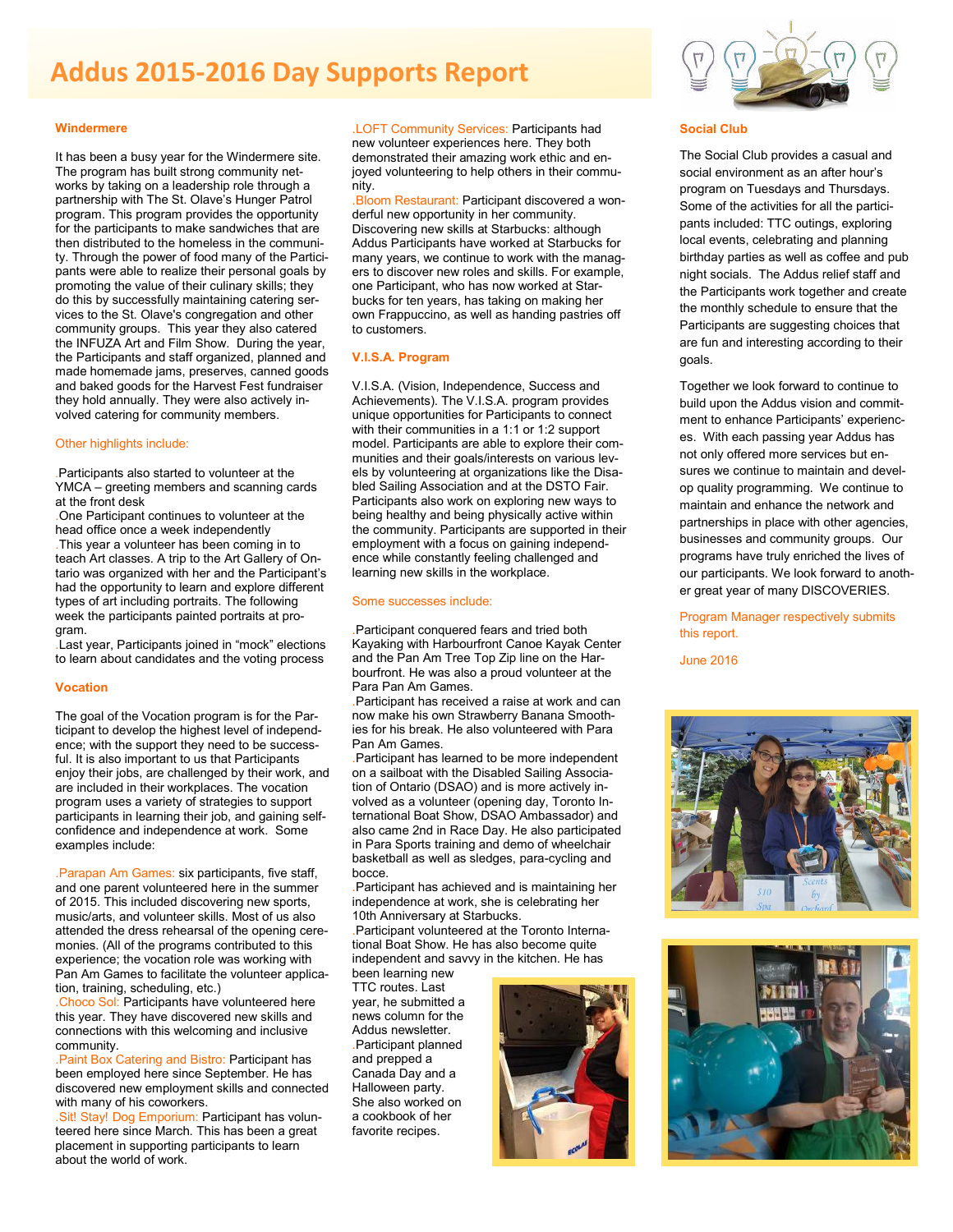# **Addus 2015-2016 Day Supports Report**

#### **Windermere**

It has been a busy year for the Windermere site. The program has built strong community networks by taking on a leadership role through a partnership with The St. Olave's Hunger Patrol program. This program provides the opportunity for the participants to make sandwiches that are then distributed to the homeless in the community. Through the power of food many of the Participants were able to realize their personal goals by promoting the value of their culinary skills; they do this by successfully maintaining catering services to the St. Olave's congregation and other community groups. This year they also catered the INFUZA Art and Film Show. During the year, the Participants and staff organized, planned and made homemade jams, preserves, canned goods and baked goods for the Harvest Fest fundraiser they hold annually. They were also actively involved catering for community members.

#### Other highlights include:

Participants also started to volunteer at the YMCA – greeting members and scanning cards at the front desk

.One Participant continues to volunteer at the head office once a week independently

.This year a volunteer has been coming in to teach Art classes. A trip to the Art Gallery of Ontario was organized with her and the Participant's had the opportunity to learn and explore different types of art including portraits. The following week the participants painted portraits at program.

.Last year, Participants joined in "mock" elections to learn about candidates and the voting process

#### **Vocation**

The goal of the Vocation program is for the Participant to develop the highest level of independence; with the support they need to be successful. It is also important to us that Participants enjoy their jobs, are challenged by their work, and are included in their workplaces. The vocation program uses a variety of strategies to support participants in learning their job, and gaining selfconfidence and independence at work. Some examples include:

.Parapan Am Games: six participants, five staff, and one parent volunteered here in the summer of 2015. This included discovering new sports, music/arts, and volunteer skills. Most of us also attended the dress rehearsal of the opening ceremonies. (All of the programs contributed to this experience; the vocation role was working with Pan Am Games to facilitate the volunteer application, training, scheduling, etc.)

.Choco Sol: Participants have volunteered here this year. They have discovered new skills and connections with this welcoming and inclusive community.

.Paint Box Catering and Bistro: Participant has been employed here since September. He has discovered new employment skills and connected with many of his coworkers.

.Sit! Stay! Dog Emporium: Participant has volunteered here since March. This has been a great placement in supporting participants to learn about the world of work.

.LOFT Community Services: Participants had new volunteer experiences here. They both demonstrated their amazing work ethic and enjoyed volunteering to help others in their community.

.Bloom Restaurant: Participant discovered a wonderful new opportunity in her community. Discovering new skills at Starbucks: although Addus Participants have worked at Starbucks for many years, we continue to work with the managers to discover new roles and skills. For example, one Participant, who has now worked at Starbucks for ten years, has taking on making her own Frappuccino, as well as handing pastries off to customers.

#### **V.I.S.A. Program**

V.I.S.A. (Vision, Independence, Success and Achievements). The V.I.S.A. program provides unique opportunities for Participants to connect with their communities in a 1:1 or 1:2 support model. Participants are able to explore their communities and their goals/interests on various levels by volunteering at organizations like the Disabled Sailing Association and at the DSTO Fair. Participants also work on exploring new ways to being healthy and being physically active within the community. Participants are supported in their employment with a focus on gaining independence while constantly feeling challenged and learning new skills in the workplace.

#### Some successes include:

.Participant conquered fears and tried both Kayaking with Harbourfront Canoe Kayak Center and the Pan Am Tree Top Zip line on the Harbourfront. He was also a proud volunteer at the Para Pan Am Games.

.Participant has received a raise at work and can now make his own Strawberry Banana Smoothies for his break. He also volunteered with Para Pan Am Games.

.Participant has learned to be more independent on a sailboat with the Disabled Sailing Association of Ontario (DSAO) and is more actively involved as a volunteer (opening day, Toronto International Boat Show, DSAO Ambassador) and also came 2nd in Race Day. He also participated in Para Sports training and demo of wheelchair basketball as well as sledges, para-cycling and bocce.

.Participant has achieved and is maintaining her independence at work, she is celebrating her 10th Anniversary at Starbucks.

.Participant volunteered at the Toronto International Boat Show. He has also become quite independent and savvy in the kitchen. He has been learning new

TTC routes. Last year, he submitted a news column for the Addus newsletter. .Participant planned and prepped a Canada Day and a Halloween party. She also worked on a cookbook of her favorite recipes.





#### **Social Club**

The Social Club provides a casual and social environment as an after hour's program on Tuesdays and Thursdays. Some of the activities for all the participants included: TTC outings, exploring local events, celebrating and planning birthday parties as well as coffee and pub night socials. The Addus relief staff and the Participants work together and create the monthly schedule to ensure that the Participants are suggesting choices that are fun and interesting according to their goals.

Together we look forward to continue to build upon the Addus vision and commitment to enhance Participants' experiences. With each passing year Addus has not only offered more services but ensures we continue to maintain and develop quality programming. We continue to maintain and enhance the network and partnerships in place with other agencies, businesses and community groups. Our programs have truly enriched the lives of our participants. We look forward to another great year of many DISCOVERIES.

Program Manager respectively submits this report.

June 2016